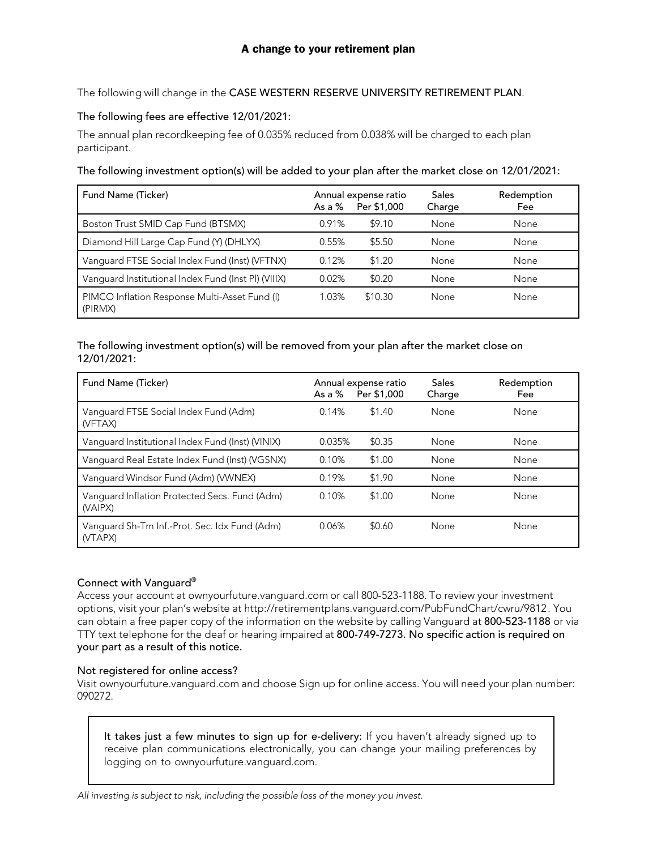The following will change in the CASE WESTERN RESERVE UNIVERSITY RETIREMENT PLAN.

# The following fees are effective 12/01/2021:

The annual plan recordkeeping fee of 0.035% reduced from 0.038% will be charged to each plan participant.

## The following investment option(s) will be added to your plan after the market close on 12/01/2021:

| Fund Name (Ticker)                                       | As a $\%$ | Annual expense ratio<br>Per \$1,000 | Sales<br>Charge | Redemption<br>Fee |
|----------------------------------------------------------|-----------|-------------------------------------|-----------------|-------------------|
| Boston Trust SMID Cap Fund (BTSMX)                       | 0.91%     | \$9.10                              | None            | None              |
| Diamond Hill Large Cap Fund (Y) (DHLYX)                  | 0.55%     | \$5.50                              | None            | None              |
| Vanguard FTSE Social Index Fund (Inst) (VFTNX)           | 0.12%     | \$1.20                              | None            | None              |
| Vanguard Institutional Index Fund (Inst PI) (VIIIX)      | 0.02%     | \$0.20                              | None            | None              |
| PIMCO Inflation Response Multi-Asset Fund (I)<br>(PIRMX) | 1.03%     | \$10.30                             | None            | None              |

## The following investment option(s) will be removed from your plan after the market close on 12/01/2021:

| Fund Name (Ticker)                                       | As a $%$ | Annual expense ratio<br>Per \$1,000 | Sales<br>Charge | Redemption<br>Fee |
|----------------------------------------------------------|----------|-------------------------------------|-----------------|-------------------|
| Vanguard FTSE Social Index Fund (Adm)<br>(VFTAX)         | 0.14%    | \$1.40                              | None            | None              |
| Vanguard Institutional Index Fund (Inst) (VINIX)         | 0.035%   | \$0.35                              | None            | None              |
| Vanguard Real Estate Index Fund (Inst) (VGSNX)           | 0.10%    | \$1.00                              | None            | None              |
| Vanguard Windsor Fund (Adm) (VWNEX)                      | 0.19%    | \$1.90                              | None            | None              |
| Vanguard Inflation Protected Secs. Fund (Adm)<br>(VAIPX) | 0.10%    | \$1.00                              | None            | None              |
| Vanguard Sh-Tm Inf.-Prot. Sec. Idx Fund (Adm)<br>(VTAPX) | 0.06%    | \$0.60                              | None            | None              |

## Connect with Vanguard®

Access your account at ownyourfuture.vanguard.com or call 800-523-1188. To review your investment options, visit your plan's website at http://retirementplans.vanguard.com/PubFundChart/cwru/9812. You can obtain a free paper copy of the information on the website by calling Vanguard at 800-523-1188 or via TTY text telephone for the deaf or hearing impaired at 800-749-7273. No specific action is required on your part as a result of this notice.

## Not registered for online access?

Visit ownyourfuture.vanguard.com and choose Sign up for online access. You will need your plan number: 090272.

It takes just a few minutes to sign up for e-delivery: If you haven't already signed up to receive plan communications electronically, you can change your mailing preferences by logging on to ownyourfuture.vanguard.com.